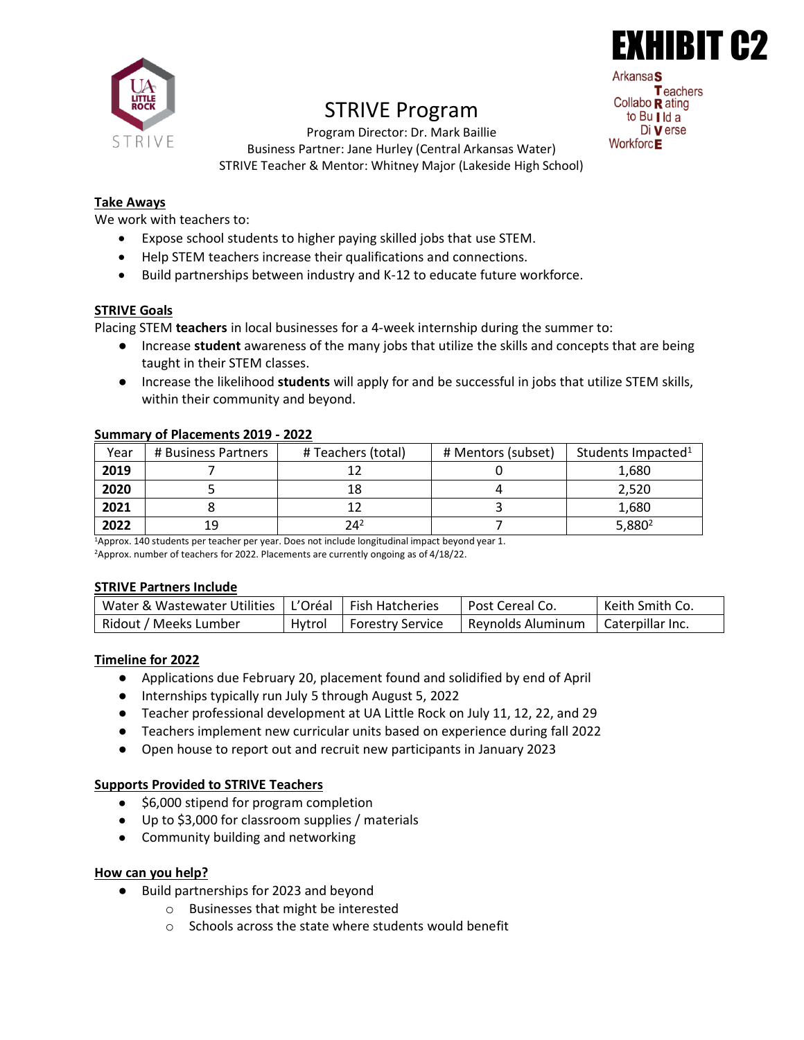

# STRIVE Program

HIBIT **Arkansa** Teachers Collabo  $\mathbf R$  ating to Bu | Id a Di **V** erse Workforc<sub>E</sub>

Program Director: Dr. Mark Baillie Business Partner: Jane Hurley (Central Arkansas Water) STRIVE Teacher & Mentor: Whitney Major (Lakeside High School)

## **Take Aways**

We work with teachers to:

- Expose school students to higher paying skilled jobs that use STEM.
- Help STEM teachers increase their qualifications and connections.
- Build partnerships between industry and K-12 to educate future workforce.

### **STRIVE Goals**

Placing STEM **teachers** in local businesses for a 4-week internship during the summer to:

- Increase **student** awareness of the many jobs that utilize the skills and concepts that are being taught in their STEM classes.
- Increase the likelihood **students** will apply for and be successful in jobs that utilize STEM skills, within their community and beyond.

| ----------- | ___________________ |                    |                    |                                |
|-------------|---------------------|--------------------|--------------------|--------------------------------|
| Year        | # Business Partners | # Teachers (total) | # Mentors (subset) | Students Impacted <sup>1</sup> |
| 2019        |                     |                    |                    | 1,680                          |
| 2020        |                     | 18                 |                    | 2.520                          |
| 2021        |                     |                    |                    | 1,680                          |
| 2022        | 19                  | $24^{2}$           |                    | 5,880 <sup>2</sup>             |

#### **Summary of Placements 2019 - 2022**

<sup>1</sup>Approx. 140 students per teacher per year. Does not include longitudinal impact beyond year 1. <sup>2</sup>Approx. number of teachers for 2022. Placements are currently ongoing as of 4/18/22.

#### **STRIVE Partners Include**

| Water & Wastewater Utilities   L'Oréal   Fish Hatcheries |        |                    | Post Cereal Co.                      | Keith Smith Co. |
|----------------------------------------------------------|--------|--------------------|--------------------------------------|-----------------|
| Ridout / Meeks Lumber                                    | Hvtrol | I Forestry Service | Reynolds Aluminum   Caterpillar Inc. |                 |

## **Timeline for 2022**

- Applications due February 20, placement found and solidified by end of April
- Internships typically run July 5 through August 5, 2022
- Teacher professional development at UA Little Rock on July 11, 12, 22, and 29
- Teachers implement new curricular units based on experience during fall 2022
- Open house to report out and recruit new participants in January 2023

#### **Supports Provided to STRIVE Teachers**

- \$6,000 stipend for program completion
- Up to \$3,000 for classroom supplies / materials
- Community building and networking

#### **How can you help?**

- Build partnerships for 2023 and beyond
	- o Businesses that might be interested
	- o Schools across the state where students would benefit